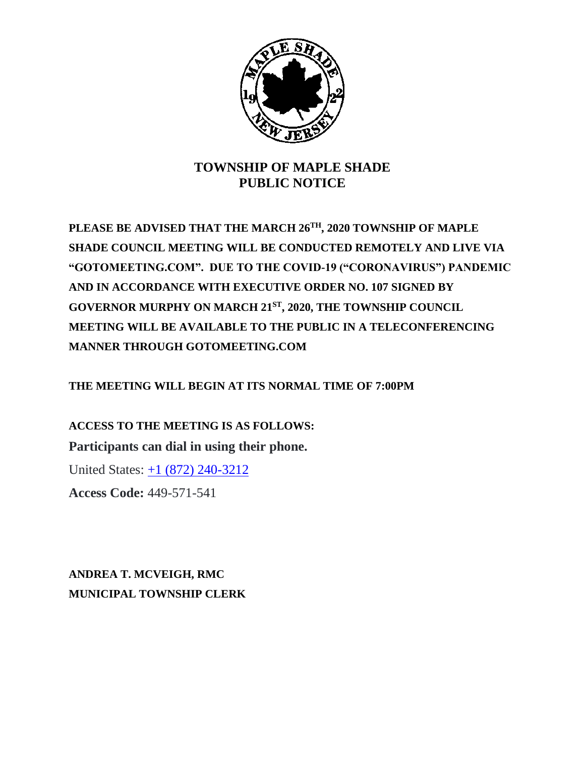

## **TOWNSHIP OF MAPLE SHADE PUBLIC NOTICE**

**PLEASE BE ADVISED THAT THE MARCH 26TH, 2020 TOWNSHIP OF MAPLE SHADE COUNCIL MEETING WILL BE CONDUCTED REMOTELY AND LIVE VIA "GOTOMEETING.COM". DUE TO THE COVID-19 ("CORONAVIRUS") PANDEMIC AND IN ACCORDANCE WITH EXECUTIVE ORDER NO. 107 SIGNED BY GOVERNOR MURPHY ON MARCH 21ST, 2020, THE TOWNSHIP COUNCIL MEETING WILL BE AVAILABLE TO THE PUBLIC IN A TELECONFERENCING MANNER THROUGH GOTOMEETING.COM**

**THE MEETING WILL BEGIN AT ITS NORMAL TIME OF 7:00PM**

**ACCESS TO THE MEETING IS AS FOLLOWS: Participants can dial in using their phone.**

United States: [+1 \(872\) 240-3212](tel:+18722403212,,449571541)

**Access Code:** 449-571-541

**ANDREA T. MCVEIGH, RMC MUNICIPAL TOWNSHIP CLERK**